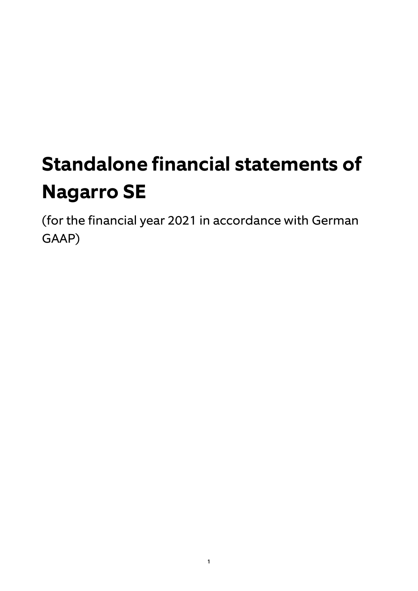# **Standalone financial statements of Nagarro SE**

(for the financial year 2021 in accordance with German GAAP)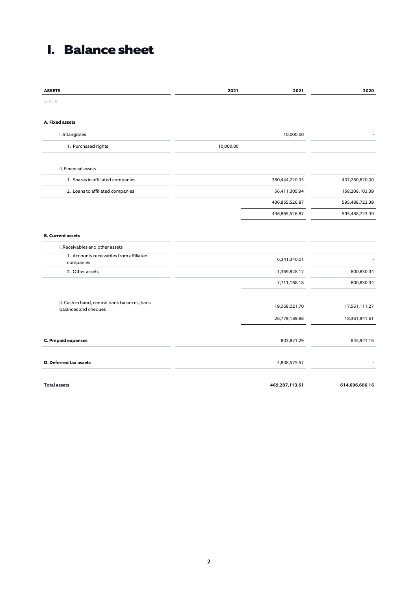# **I. Balance sheet**

| <b>ASSETS</b>                                                         | 2021      | 2021           | 2020           |
|-----------------------------------------------------------------------|-----------|----------------|----------------|
| in EUR                                                                |           |                |                |
| A. Fixed assets                                                       |           |                |                |
| I. Intangibles                                                        |           | 10,000.00      |                |
| 1. Purchased rights                                                   | 10,000.00 |                |                |
| II. Financial assets                                                  |           |                |                |
| 1. Shares in affiliated companies                                     |           | 380,444,220.93 | 437,280,620.00 |
| 2. Loans to affiliated companies                                      |           | 56,411,305.94  | 158,208,103.39 |
|                                                                       |           | 436,855,526.87 | 595,488,723.39 |
|                                                                       |           | 436,865,526.87 | 595,488,723.39 |
| <b>B. Current assets</b>                                              |           |                |                |
| I. Receivables and other assets                                       |           |                |                |
| 1. Accounts receivables from affiliated<br>companies                  |           | 6,341,340.01   |                |
| 2. Other assets                                                       |           | 1,369,828.17   | 800,830.34     |
|                                                                       |           | 7,711,168.18   | 800,830.34     |
| II. Cash in hand, central bank balances, bank<br>balances and cheques |           | 19,068,021.70  | 17,561,111.27  |
|                                                                       |           | 26,779,189.88  | 18,361,941.61  |
| C. Prepaid expenses                                                   |           | 803,821.29     | 845,941.16     |
| D. Deferred tax assets                                                |           | 4,838,575.57   |                |
| <b>Total assets</b>                                                   |           | 469,287,113.61 | 614,696,606.16 |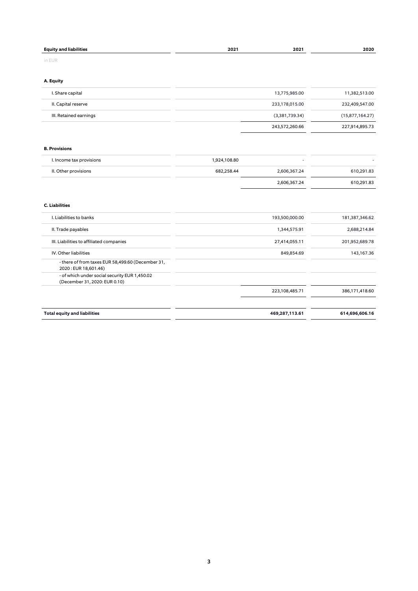| <b>Equity and liabilities</b>                                                  | 2021         | 2021           | 2020            |
|--------------------------------------------------------------------------------|--------------|----------------|-----------------|
| in EUR                                                                         |              |                |                 |
| A. Equity                                                                      |              |                |                 |
| I. Share capital                                                               |              | 13,775,985.00  | 11,382,513.00   |
| II. Capital reserve                                                            |              | 233,178,015.00 | 232,409,547.00  |
| III. Retained earnings                                                         |              | (3,381,739.34) | (15,877,164.27) |
|                                                                                |              | 243,572,260.66 | 227,914,895.73  |
| <b>B. Provisions</b>                                                           |              |                |                 |
| I. Income tax provisions                                                       | 1,924,108.80 |                |                 |
| II. Other provisions                                                           | 682,258.44   | 2,606,367.24   | 610,291.83      |
|                                                                                |              | 2,606,367.24   | 610,291.83      |
| <b>C.</b> Liabilities                                                          |              |                |                 |
| I. Liabilities to banks                                                        |              | 193,500,000.00 | 181,387,346.62  |
| II. Trade payables                                                             |              | 1,344,575.91   | 2,688,214.84    |
| III. Liabilities to affiliated companies                                       |              | 27,414,055.11  | 201,952,689.78  |
| IV. Other liabilities                                                          |              | 849,854.69     | 143,167.36      |
| - there of from taxes EUR 58,499.60 (December 31,<br>2020: EUR 18,601.46)      |              |                |                 |
| - of which under social security EUR 1,450.02<br>(December 31, 2020: EUR 0.10) |              |                |                 |
|                                                                                |              | 223,108,485.71 | 386,171,418.60  |

**Total equity and liabilities 469,287,113.61 614,696,606.16**

3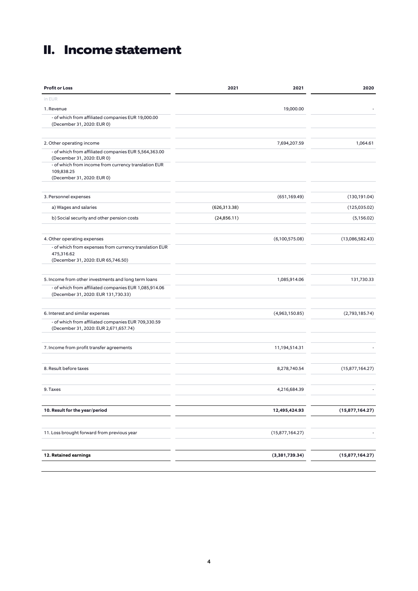# **II. Income statement**

| <b>Profit or Loss</b>                                                                                      | 2021<br>2021    | 2020            |
|------------------------------------------------------------------------------------------------------------|-----------------|-----------------|
| in EUR                                                                                                     |                 |                 |
| 1. Revenue                                                                                                 | 19,000.00       |                 |
| - of which from affiliated companies EUR 19,000.00<br>(December 31, 2020: EUR 0)                           |                 |                 |
| 2. Other operating income                                                                                  | 7,694,207.59    | 1,064.61        |
| - of which from affiliated companies EUR 5,564,363.00<br>(December 31, 2020: EUR 0)                        |                 |                 |
| - of which from income from currency translation EUR<br>109,838.25<br>(December 31, 2020: EUR 0)           |                 |                 |
| 3. Personnel expenses                                                                                      | (651, 169.49)   | (130, 191.04)   |
| a) Wages and salaries                                                                                      | (626, 313.38)   | (125,035.02)    |
| b) Social security and other pension costs                                                                 | (24,856.11)     | (5, 156.02)     |
|                                                                                                            |                 |                 |
| 4. Other operating expenses                                                                                | (6,100,575.08)  | (13,086,582.43) |
| - of which from expenses from currency translation EUR<br>475,316.62<br>(December 31, 2020: EUR 65,746.50) |                 |                 |
| 5. Income from other investments and long term loans                                                       | 1,085,914.06    | 131,730.33      |
| - of which from affiliated companies EUR 1,085,914.06<br>(December 31, 2020: EUR 131, 730.33)              |                 |                 |
| 6. Interest and similar expenses                                                                           | (4,963,150.85)  | (2,793,185.74)  |
| - of which from affiliated companies EUR 709,330.59<br>(December 31, 2020: EUR 2,671,657.74)               |                 |                 |
| 7. Income from profit transfer agreements                                                                  | 11,194,514.31   |                 |
| 8. Result before taxes                                                                                     | 8,278,740.54    | (15,877,164.27) |
| 9. Taxes                                                                                                   | 4,216,684.39    |                 |
|                                                                                                            |                 |                 |
| 10. Result for the year/period                                                                             | 12,495,424.93   | (15,877,164.27) |
| 11. Loss brought forward from previous year                                                                | (15,877,164.27) |                 |
| 12. Retained earnings                                                                                      | (3,381,739.34)  | (15,877,164.27) |
|                                                                                                            |                 |                 |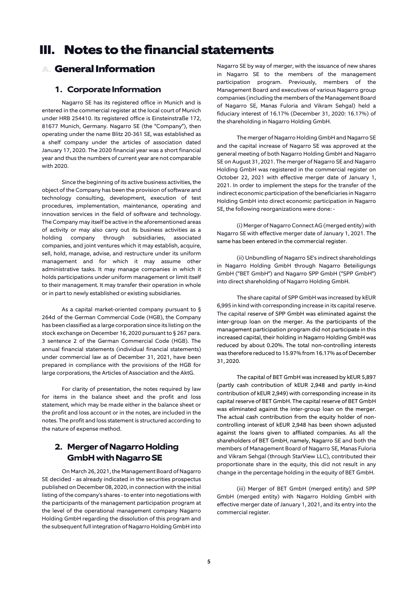## **III. Notes to the financial statements**

### **A. General Information**

### **1. Corporate Information**

Nagarro SE has its registered office in Munich and is entered in the commercial register at the local court of Munich under HRB 254410. Its registered office is Einsteinstraße 172, 81677 Munich, Germany. Nagarro SE (the "Company"), then operating under the name Blitz 20-361 SE, was established as a shelf company under the articles of association dated January 17, 2020. The 2020 financial year was a short financial year and thus the numbers of current year are not comparable with 2020.

Since the beginning of its active business activities, the object of the Company has been the provision of software and technology consulting, development, execution of test procedures, implementation, maintenance, operating and innovation services in the field of software and technology. The Company may itself be active in the aforementioned areas of activity or may also carry out its business activities as a holding company through subsidiaries, associated companies, and joint ventures which it may establish, acquire, sell, hold, manage, advise, and restructure under its uniform management and for which it may assume other administrative tasks. It may manage companies in which it holds participations under uniform management or limit itself to their management. It may transfer their operation in whole or in part to newly established or existing subsidiaries.

As a capital market-oriented company pursuant to § 264d of the German Commercial Code (HGB), the Company has been classified as a large corporation since its listing on the stock exchange on December 16, 2020 pursuant to § 267 para. 3 sentence 2 of the German Commercial Code (HGB). The annual financial statements (individual financial statements) under commercial law as of December 31, 2021, have been prepared in compliance with the provisions of the HGB for large corporations, the Articles of Association and the AktG.

For clarity of presentation, the notes required by law for items in the balance sheet and the profit and loss statement, which may be made either in the balance sheet or the profit and loss account or in the notes, are included in the notes. The profit and loss statement is structured according to the nature of expense method.

### **2. Merger of Nagarro Holding GmbH with Nagarro SE**

On March 26, 2021, the Management Board of Nagarro SE decided - as already indicated in the securities prospectus published on December 08, 2020, in connection with the initial listing of the company's shares - to enter into negotiations with the participants of the management participation program at the level of the operational management company Nagarro Holding GmbH regarding the dissolution of this program and the subsequent full integration of Nagarro Holding GmbH into

Nagarro SE by way of merger, with the issuance of new shares in Nagarro SE to the members of the management participation program. Previously, members of the Management Board and executives of various Nagarro group companies (including the members of the Management Board of Nagarro SE, Manas Fuloria and Vikram Sehgal) held a fiduciary interest of 16.17% (December 31, 2020: 16.17%) of the shareholding in Nagarro Holding GmbH.

The merger of Nagarro Holding GmbH and Nagarro SE and the capital increase of Nagarro SE was approved at the general meeting of both Nagarro Holding GmbH and Nagarro SE on August 31, 2021. The merger of Nagarro SE and Nagarro Holding GmbH was registered in the commercial register on October 22, 2021 with effective merger date of January 1, 2021. In order to implement the steps for the transfer of the indirect economic participation of the beneficiaries in Nagarro Holding GmbH into direct economic participation in Nagarro SE, the following reorganizations were done: -

(i) Merger of Nagarro Connect AG (merged entity) with Nagarro SE with effective merger date of January 1, 2021. The same has been entered in the commercial register.

(ii) Unbundling of Nagarro SE's indirect shareholdings in Nagarro Holding GmbH through Nagarro Beteiligungs GmbH ("BET GmbH") and Nagarro SPP GmbH ("SPP GmbH") into direct shareholding of Nagarro Holding GmbH.

The share capital of SPP GmbH was increased by kEUR 6,995 in kind with corresponding increase in its capital reserve. The capital reserve of SPP GmbH was eliminated against the inter-group loan on the merger. As the participants of the management participation program did not participate in this increased capital, their holding in Nagarro Holding GmbH was reduced by about 0.20%. The total non-controlling interests was therefore reduced to 15.97% from 16.17% as of December 31, 2020.

The capital of BET GmbH was increased by kEUR 5,897 (partly cash contribution of kEUR 2,948 and partly in-kind contribution of kEUR 2,949) with corresponding increase in its capital reserve of BET GmbH. The capital reserve of BET GmbH was eliminated against the inter-group loan on the merger. The actual cash contribution from the equity holder of noncontrolling interest of kEUR 2,948 has been shown adjusted against the loans given to affliated companies. As all the shareholders of BET GmbH, namely, Nagarro SE and both the members of Management Board of Nagarro SE, Manas Fuloria and Vikram Sehgal (through StarView LLC), contributed their proportionate share in the equity, this did not result in any change in the percentage holding in the equity of BET GmbH.

(iii) Merger of BET GmbH (merged entity) and SPP GmbH (merged entity) with Nagarro Holding GmbH with effective merger date of January 1, 2021, and its entry into the commercial register.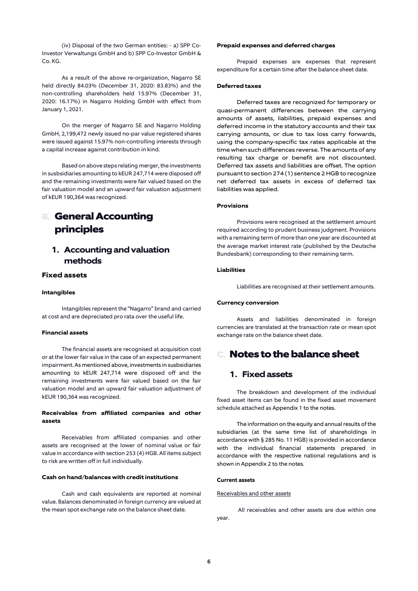(iv) Disposal of the two German entities: - a) SPP Co-Investor Verwaltungs GmbH and b) SPP Co-Investor GmbH & Co. KG.

As a result of the above re-organization, Nagarro SE held directly 84.03% (December 31, 2020: 83.83%) and the non-controlling shareholders held 15.97% (December 31, 2020: 16.17%) in Nagarro Holding GmbH with effect from January 1, 2021.

On the merger of Nagarro SE and Nagarro Holding GmbH, 2,199,472 newly issued no-par value registered shares were issued against 15.97% non-controlling interests through a capital increase against contribution in kind.

Based on above steps relating merger, the investments in susbsidiaries amounting to kEUR 247,714 were disposed off and the remaining investments were fair valued based on the fair valuation model and an upward fair valuation adjustment of kEUR 190,364 was recognized.

### **B. General Accounting principles**

### **1. Accounting and valuation methods**

### **Fixed assets**

#### **Intangibles**

Intangibles represent the "Nagarro" brand and carried at cost and are depreciated pro rata over the useful life.

#### **Financial assets**

The financial assets are recognised at acquisition cost or at the lower fair value in the case of an expected permanent impairment. As mentioned above, investments in susbsidiaries amounting to kEUR 247,714 were disposed off and the remaining investments were fair valued based on the fair valuation model and an upward fair valuation adjustment of kEUR 190,364 was recognized.

#### **Receivables from affiliated companies and other assets**

Receivables from affiliated companies and other assets are recognised at the lower of nominal value or fair value in accordance with section 253 (4) HGB. All items subject to risk are written off in full individually.

#### **Cash on hand/balances with credit institutions**

Cash and cash equivalents are reported at nominal value. Balances denominated in foreign currency are valued at the mean spot exchange rate on the balance sheet date.

#### **Prepaid expenses and deferred charges**

Prepaid expenses are expenses that represent expenditure for a certain time after the balance sheet date.

#### **Deferred taxes**

Deferred taxes are recognized for temporary or quasi-permanent differences between the carrying amounts of assets, liabilities, prepaid expenses and deferred income in the statutory accounts and their tax carrying amounts, or due to tax loss carry forwards, using the company-specific tax rates applicable at the time when such differences reverse. The amounts of any resulting tax charge or benefit are not discounted. Deferred tax assets and liabilities are offset. The option pursuant to section 274 (1) sentence 2 HGB to recognize net deferred tax assets in excess of deferred tax liabilities was applied.

#### **Provisions**

Provisions were recognised at the settlement amount required according to prudent business judgment. Provisions with a remaining term of more than one year are discounted at the average market interest rate (published by the Deutsche Bundesbank) corresponding to their remaining term.

#### **Liabilities**

Liabilities are recognised at their settlement amounts.

#### **Currency conversion**

Assets and liabilities denominated in foreign currencies are translated at the transaction rate or mean spot exchange rate on the balance sheet date.

### **C. Notes to the balance sheet**

### **1. Fixed assets**

The breakdown and development of the individual fixed asset items can be found in the fixed asset movement schedule attached as Appendix 1 to the notes.

The information on the equity and annual results of the subsidiaries (at the same time list of shareholdings in accordance with § 285 No. 11 HGB) is provided in accordance with the individual financial statements prepared in accordance with the respective national regulations and is shown in Appendix 2 to the notes.

### **Current assets**

### Receivables and other assets

All receivables and other assets are due within one year.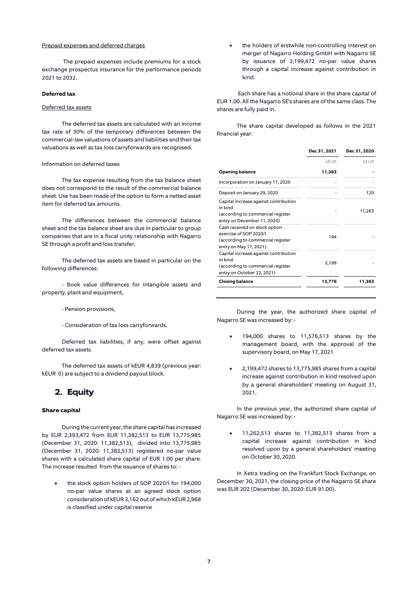### Prepaid expenses and deferred charges

The prepaid expenses include premiums for a stock exchange prospectus insurance for the performance periods 2021 to 2032.

#### **Deferred tax**

#### Deferred tax assets

The deferred tax assets are calculated with an income tax rate of 30% of the temporary differences between the commercial-law valuations of assets and liabilities and their tax valuations as well as tax loss carryforwards are recognised.

#### Information on deferred taxes

The tax expense resulting from the tax balance sheet does not correspond to the result of the commercial balance sheet. Use has been made of the option to form a netted asset item for deferred tax amounts.

The differences between the commercial balance sheet and the tax balance sheet are due in particular to group companies that are in a fiscal unity relationship with Nagarro SE through a profit and loss transfer.

The deferred tax assets are based in particular on the following differences:

- Book value differences for intangible assets and property, plant and equipment,

- Pension provisions,

- Consideration of tax loss carryforwards.

Deferred tax liabilities, if any, were offset against deferred tax assets.

The deferred tax assets of kEUR 4,839 (previous year: kEUR 0) are subject to a dividend payout block.

### **2. Equity**

#### **Share capital**

During the current year, the share capital has increased by EUR 2,393,472 from EUR 11,382,513 to EUR 13,775,985 (December 31, 2020: 11,382,513), divided into 13,775,985 (December 31, 2020: 11,382,513) registered no-par value shares with a calculated share capital of EUR 1.00 per share. The increase resulted from the issuance of shares to: -

• the stock option holders of SOP 2020/I for 194,000 no-par value shares at an agreed stock option consideration of kEUR 3,162 out of which kEUR 2,968 is classified under capital reserve

• the holders of erstwhile non-controlling interest on merger of Nagarro Holding GmbH with Nagarro SE by issuance of 2,199,472 no-par value shares through a capital increase against contribution in kind.

Each share has a notional share in the share capital of EUR 1.00. All the Nagarro SE's shares are of the same class. The shares are fully paid in.

The share capital developed as follows in the 2021 financial year:

|                                                                                                                        | Dec 31, 2021 | Dec 31, 2020 |
|------------------------------------------------------------------------------------------------------------------------|--------------|--------------|
|                                                                                                                        | <b>kEUR</b>  | <b>kEUR</b>  |
| <b>Opening balance</b>                                                                                                 | 11,383       |              |
| Incorporation on January 17, 2020                                                                                      |              |              |
| Deposit on January 29, 2020                                                                                            |              | 120          |
| Capital increase against contribution<br>in kind<br>(according to commercial register<br>entry on December 11, 2020)   |              | 11,263       |
| Cash received on stock option<br>exercise of SOP 2020/I<br>(according to commercial register<br>entry on May 17, 2021) | 194          |              |
| Capital increase against contribution<br>in kind<br>(according to commercial register<br>entry on October 22, 2021)    | 2,199        |              |
| <b>Closing balance</b>                                                                                                 | 13,776       | 11,383       |
|                                                                                                                        |              |              |

During the year, the authorized share capital of Nagarro SE was increased by: -

- 194,000 shares to 11,576,513 shares by the management board, with the approval of the supervisory board, on May 17, 2021
- 2,199,472 shares to 13,775,985 shares from a capital increase against contribution in kind resolved upon by a general shareholders' meeting on August 31, 2021.

In the previous year, the authorized share capital of Nagarro SE was increased by: -

• 11,262,513 shares to 11,382,513 shares from a capital increase against contribution in kind resolved upon by a general shareholders' meeting on October 30, 2020.

In Xetra trading on the Frankfurt Stock Exchange, on December 30, 2021, the closing price of the Nagarro SE share was EUR 202 (December 30, 2020: EUR 91.00).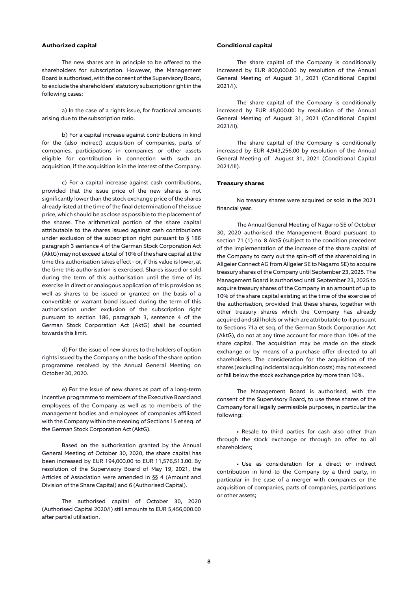#### **Authorized capital**

The new shares are in principle to be offered to the shareholders for subscription. However, the Management Board is authorised, with the consent of the Supervisory Board, to exclude the shareholders' statutory subscription right in the following cases:

a) In the case of a rights issue, for fractional amounts arising due to the subscription ratio.

b) For a capital increase against contributions in kind for the (also indirect) acquisition of companies, parts of companies, participations in companies or other assets eligible for contribution in connection with such an acquisition, if the acquisition is in the interest of the Company.

c) For a capital increase against cash contributions, provided that the issue price of the new shares is not significantly lower than the stock exchange price of the shares already listed at the time of the final determination of the issue price, which should be as close as possible to the placement of the shares. The arithmetical portion of the share capital attributable to the shares issued against cash contributions under exclusion of the subscription right pursuant to § 186 paragraph 3 sentence 4 of the German Stock Corporation Act (AktG) may not exceed a total of 10% of the share capital at the time this authorisation takes effect - or, if this value is lower, at the time this authorisation is exercised. Shares issued or sold during the term of this authorisation until the time of its exercise in direct or analogous application of this provision as well as shares to be issued or granted on the basis of a convertible or warrant bond issued during the term of this authorisation under exclusion of the subscription right pursuant to section 186, paragraph 3, sentence 4 of the German Stock Corporation Act (AktG) shall be counted towards this limit.

d) For the issue of new shares to the holders of option rights issued by the Company on the basis of the share option programme resolved by the Annual General Meeting on October 30, 2020.

e) For the issue of new shares as part of a long-term incentive programme to members of the Executive Board and employees of the Company as well as to members of the management bodies and employees of companies affiliated with the Company within the meaning of Sections 15 et seq. of the German Stock Corporation Act (AktG).

Based on the authorisation granted by the Annual General Meeting of October 30, 2020, the share capital has been increased by EUR 194,000.00 to EUR 11,576,513.00. By resolution of the Supervisory Board of May 19, 2021, the Articles of Association were amended in §§ 4 (Amount and Division of the Share Capital) and 6 (Authorised Capital).

The authorised capital of October 30, 2020 (Authorised Capital 2020/I) still amounts to EUR 5,456,000.00 after partial utilisation.

#### **Conditional capital**

The share capital of the Company is conditionally increased by EUR 800,000.00 by resolution of the Annual General Meeting of August 31, 2021 (Conditional Capital 2021/I).

The share capital of the Company is conditionally increased by EUR 45,000.00 by resolution of the Annual General Meeting of August 31, 2021 (Conditional Capital 2021/II).

The share capital of the Company is conditionally increased by EUR 4,943,256.00 by resolution of the Annual General Meeting of August 31, 2021 (Conditional Capital 2021/III).

#### **Treasury shares**

No treasury shares were acquired or sold in the 2021 financial year.

The Annual General Meeting of Nagarro SE of October 30, 2020 authorised the Management Board pursuant to section 71 (1) no. 8 AktG (subject to the condition precedent of the implementation of the increase of the share capital of the Company to carry out the spin-off of the shareholding in Allgeier Connect AG from Allgeier SE to Nagarro SE) to acquire treasury shares of the Company until September 23, 2025. The Management Board is authorised until September 23, 2025 to acquire treasury shares of the Company in an amount of up to 10% of the share capital existing at the time of the exercise of the authorisation, provided that these shares, together with other treasury shares which the Company has already acquired and still holds or which are attributable to it pursuant to Sections 71a et seq. of the German Stock Corporation Act (AktG), do not at any time account for more than 10% of the share capital. The acquisition may be made on the stock exchange or by means of a purchase offer directed to all shareholders. The consideration for the acquisition of the shares (excluding incidental acquisition costs) may not exceed or fall below the stock exchange price by more than 10%.

The Management Board is authorised, with the consent of the Supervisory Board, to use these shares of the Company for all legally permissible purposes, in particular the following:

• Resale to third parties for cash also other than through the stock exchange or through an offer to all shareholders;

• Use as consideration for a direct or indirect contribution in kind to the Company by a third party, in particular in the case of a merger with companies or the acquisition of companies, parts of companies, participations or other assets;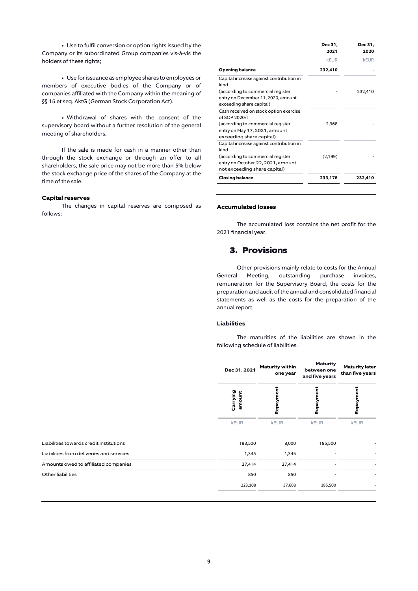• Use to fulfil conversion or option rights issued by the Company or its subordinated Group companies vis-à-vis the holders of these rights;

• Use for issuance as employee shares to employees or members of executive bodies of the Company or of companies affiliated with the Company within the meaning of §§ 15 et seq. AktG (German Stock Corporation Act).

• Withdrawal of shares with the consent of the supervisory board without a further resolution of the general meeting of shareholders.

If the sale is made for cash in a manner other than through the stock exchange or through an offer to all shareholders, the sale price may not be more than 5% below the stock exchange price of the shares of the Company at the time of the sale.

### **Capital reserves**

The changes in capital reserves are composed as follows:

|                                                                                                        | Dec 31,<br>2021 | Dec 31,<br>2020 |
|--------------------------------------------------------------------------------------------------------|-----------------|-----------------|
|                                                                                                        | <b>kEUR</b>     | kEUR            |
| <b>Opening balance</b>                                                                                 | 232,410         |                 |
| Capital increase against contribution in<br>kind                                                       |                 |                 |
| (according to commercial register<br>entry on December 11, 2020, amount<br>exceeding share capital)    |                 | 232,410         |
| Cash received on stock option exercise<br>of SOP 2020/I                                                |                 |                 |
| (according to commercial register<br>entry on May 17, 2021, amount<br>exceeding share capital)         | 2.968           |                 |
| Capital increase against contribution in<br>kind                                                       |                 |                 |
| (according to commercial register<br>entry on October 22, 2021, amount<br>not exceeding share capital) | (2, 199)        |                 |
| <b>Closing balance</b>                                                                                 | 233,178         | 232,410         |

#### **Accumulated losses**

The accumulated loss contains the net profit for the 2021 financial year.

### **3. Provisions**

Other provisions mainly relate to costs for the Annual General Meeting, outstanding purchase invoices, remuneration for the Supervisory Board, the costs for the preparation and audit of the annual and consolidated financial statements as well as the costs for the preparation of the annual report.

### **Liabilities**

The maturities of the liabilities are shown in the following schedule of liabilities.

**Maturity** 

| Dec 31, 2021       | <b>Maturity within</b><br>one year | between one<br>and five years | <b>Maturity later</b><br>than five years |
|--------------------|------------------------------------|-------------------------------|------------------------------------------|
| Carrying<br>amount | Ë<br>Repay                         |                               | Repay                                    |
| <b>kEUR</b>        | <b>kEUR</b>                        | <b>kEUR</b>                   | <b>kEUR</b>                              |
|                    | 8,000                              | 185,500                       |                                          |
| 1,345              | 1,345                              |                               |                                          |
|                    | 27,414                             |                               |                                          |
|                    | 850                                |                               |                                          |
| 223,108            | 37,608                             | 185,500                       |                                          |
|                    |                                    | 193,500<br>27,414<br>850      | . . <i></i> <u>.</u>                     |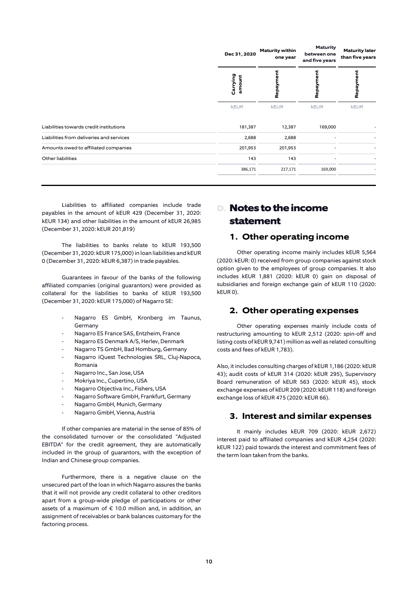| Dec 31, 2020 | <b>Maturity within</b><br>one year | <b>Maturity</b><br>between one<br>and five years | <b>Maturity later</b><br>than five years |
|--------------|------------------------------------|--------------------------------------------------|------------------------------------------|
| amount       | ដូ<br>Repayr                       | Repa                                             | Repay                                    |
|              | <b>kEUR</b>                        | <b>kEUR</b>                                      | <b>kEUR</b>                              |
|              | 12,387                             | 169,000                                          |                                          |
| 2,688        | 2,688                              |                                                  |                                          |
|              | 201,953                            |                                                  |                                          |
| 143          | 143                                |                                                  |                                          |
|              |                                    |                                                  |                                          |
|              | <b>kEUR</b><br>181,387<br>201,953  |                                                  | 386,171<br>217,171<br>169,000            |

Liabilities to affiliated companies include trade payables in the amount of kEUR 429 (December 31, 2020: kEUR 134) and other liabilities in the amount of kEUR 26,985 (December 31, 2020: kEUR 201,819)

The liabilities to banks relate to kEUR 193,500 (December 31, 2020: kEUR 175,000) in loan liabilities and kEUR 0 (December 31, 2020: kEUR 6,387) in trade payables.

Guarantees in favour of the banks of the following affiliated companies (original guarantors) were provided as collateral for the liabilities to banks of kEUR 193,500 (December 31, 2020: kEUR 175,000) of Nagarro SE:

- Nagarro ES GmbH, Kronberg im Taunus, Germany
- Nagarro ES France SAS, Entzheim, France
- Nagarro ES Denmark A/S, Herlev, Denmark
- Nagarro TS GmbH, Bad Homburg, Germany
- Nagarro iQuest Technologies SRL, Cluj-Napoca, Romania
- Nagarro Inc., San Jose, USA
- Mokriya Inc., Cupertino, USA
- Nagarro Objectiva Inc., Fishers, USA
- Nagarro Software GmbH, Frankfurt, Germany
- Nagarro GmbH, Munich, Germany
- Nagarro GmbH, Vienna, Austria

If other companies are material in the sense of 85% of the consolidated turnover or the consolidated "Adjusted EBITDA" for the credit agreement, they are automatically included in the group of guarantors, with the exception of Indian and Chinese group companies.

Furthermore, there is a negative clause on the unsecured part of the loan in which Nagarro assures the banks that it will not provide an[y credit](https://de.wikipedia.org/wiki/Gl%C3%A4ubiger) [collateral](https://de.wikipedia.org/wiki/Kreditsicherheit) to other [creditors](https://de.wikipedia.org/wiki/Gl%C3%A4ubiger) apart from a group-wide pledge of participations or other assets of a maximum of € 10.0 million and, in addition, an assignment of receivables or bank balances customary for the factoring process.

### **D. Notes to the income statement**

### **1. Other operating income**

Other operating income mainly includes kEUR 5,564 (2020: kEUR: 0) received from group companies against stock option given to the employees of group companies. It also includes kEUR 1,881 (2020: kEUR 0) gain on disposal of subsidiaries and foreign exchange gain of kEUR 110 (2020: kEUR 0).

### **2. Other operating expenses**

Other operating expenses mainly include costs of restructuring amounting to kEUR 2,512 (2020: spin-off and listing costs of kEUR 9,741) million as well as related consulting costs and fees of kEUR 1,783).

Also, it includes consulting charges of kEUR 1,186 (2020: kEUR 43); audit costs of kEUR 314 (2020: kEUR 295), Supervisory Board remuneration of kEUR 563 (2020: kEUR 45), stock exchange expenses of kEUR 209 (2020: kEUR 118) and foreign exchange loss of kEUR 475 (2020: kEUR 66).

### **3. Interest and similar expenses**

It mainly includes kEUR 709 (2020: kEUR 2,672) interest paid to affiliated companies and kEUR 4,254 (2020: kEUR 122) paid towards the interest and commitment fees of the term loan taken from the banks.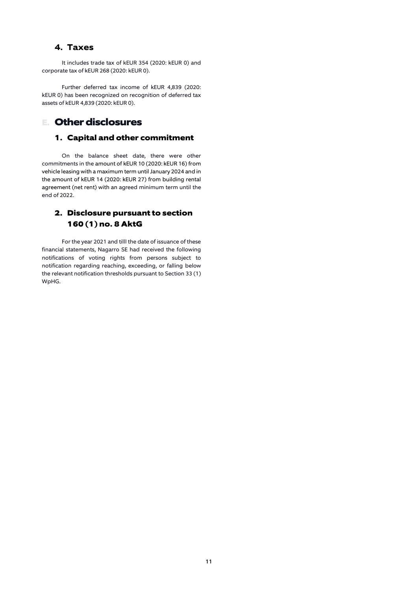### **4. Taxes**

It includes trade tax of kEUR 354 (2020: kEUR 0) and corporate tax of kEUR 268 (2020: kEUR 0).

Further deferred tax income of kEUR 4,839 (2020: kEUR 0) has been recognized on recognition of deferred tax assets of kEUR 4,839 (2020: kEUR 0).

### **E. Other disclosures**

### **1. Capital and other commitment**

On the balance sheet date, there were other commitments in the amount of kEUR 10 (2020: kEUR 16) from vehicle leasing with a maximum term until January 2024 and in the amount of kEUR 14 (2020: kEUR 27) from building rental agreement (net rent) with an agreed minimum term until the end of 2022.

### **2. Disclosure pursuant to section 160 (1) no. 8 AktG**

For the year 2021 and tilll the date of issuance of these financial statements, Nagarro SE had received the following notifications of voting rights from persons subject to notification regarding reaching, exceeding, or falling below the relevant notification thresholds pursuant to Section 33 (1) WpHG.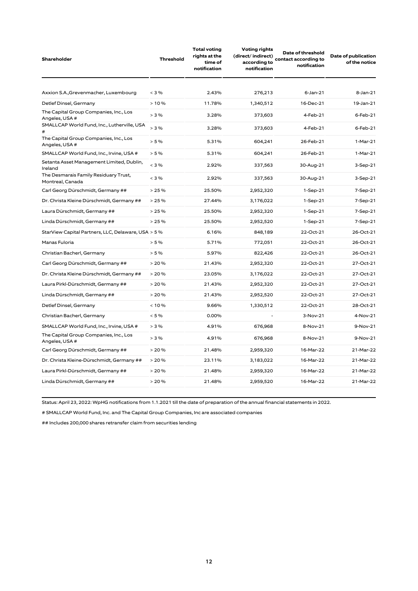| Shareholder                                               | <b>Threshold</b> | <b>Total voting</b><br>rights at the<br>time of<br>notification | <b>Voting rights</b><br>(direct/indirect)<br>according to<br>notification | Date of threshold<br>contact according to<br>notification | Date of publication<br>of the notice |
|-----------------------------------------------------------|------------------|-----------------------------------------------------------------|---------------------------------------------------------------------------|-----------------------------------------------------------|--------------------------------------|
| Axxion S.A., Grevenmacher, Luxembourg                     | < 3%             | 2.43%                                                           | 276,213                                                                   | $6$ -Jan-21                                               | 8-Jan-21                             |
| Detlef Dinsel, Germany                                    | >10%             | 11.78%                                                          | 1,340,512                                                                 | 16-Dec-21                                                 | 19-Jan-21                            |
| The Capital Group Companies, Inc., Los<br>Angeles, USA #  | > 3%             | 3.28%                                                           | 373,603                                                                   | 4-Feb-21                                                  | 6-Feb-21                             |
| SMALLCAP World Fund, Inc., Lutherville, USA<br>#          | > 3%             | 3.28%                                                           | 373,603                                                                   | 4-Feb-21                                                  | 6-Feb-21                             |
| The Capital Group Companies, Inc., Los<br>Angeles, USA #  | > 5%             | 5.31%                                                           | 604,241                                                                   | 26-Feb-21                                                 | 1-Mar-21                             |
| SMALLCAP World Fund, Inc., Irvine, USA #                  | > 5%             | 5.31%                                                           | 604,241                                                                   | 26-Feb-21                                                 | 1-Mar-21                             |
| Setanta Asset Management Limited, Dublin,<br>Ireland      | < 3%             | 2.92%                                                           | 337,563                                                                   | 30-Aug-21                                                 | 3-Sep-21                             |
| The Desmarais Family Residuary Trust,<br>Montreal, Canada | < 3%             | 2.92%                                                           | 337,563                                                                   | 30-Aug-21                                                 | 3-Sep-21                             |
| Carl Georg Dürschmidt, Germany ##                         | > 25%            | 25.50%                                                          | 2,952,320                                                                 | 1-Sep-21                                                  | 7-Sep-21                             |
| Dr. Christa Kleine Dürschmidt, Germany ##                 | >25%             | 27.44%                                                          | 3,176,022                                                                 | 1-Sep-21                                                  | 7-Sep-21                             |
| Laura Dürschmidt, Germany ##                              | >25%             | 25.50%                                                          | 2,952,320                                                                 | 1-Sep-21                                                  | 7-Sep-21                             |
| Linda Dürschmidt, Germany ##                              | > 25%            | 25.50%                                                          | 2,952,520                                                                 | 1-Sep-21                                                  | 7-Sep-21                             |
| StarView Capital Partners, LLC, Delaware, USA > 5 %       |                  | 6.16%                                                           | 848,189                                                                   | 22-Oct-21                                                 | 26-Oct-21                            |
| Manas Fuloria                                             | > 5%             | 5.71%                                                           | 772,051                                                                   | 22-Oct-21                                                 | 26-Oct-21                            |
| Christian Bacherl, Germany                                | > 5%             | 5.97%                                                           | 822,426                                                                   | 22-Oct-21                                                 | 26-Oct-21                            |
| Carl Georg Dürschmidt, Germany ##                         | > 20%            | 21.43%                                                          | 2,952,320                                                                 | 22-Oct-21                                                 | 27-Oct-21                            |
| Dr. Christa Kleine Dürschmidt, Germany ##                 | > 20%            | 23.05%                                                          | 3,176,022                                                                 | 22-Oct-21                                                 | 27-Oct-21                            |
| Laura Pirkl-Dürschmidt, Germany ##                        | > 20%            | 21.43%                                                          | 2,952,320                                                                 | 22-Oct-21                                                 | 27-Oct-21                            |
| Linda Dürschmidt, Germany ##                              | > 20%            | 21.43%                                                          | 2,952,520                                                                 | 22-Oct-21                                                 | 27-Oct-21                            |
| Detlef Dinsel, Germany                                    | < 10%            | 9.66%                                                           | 1,330,512                                                                 | 22-Oct-21                                                 | 28-Oct-21                            |
| Christian Bacherl, Germany                                | < 5%             | 0.00%                                                           |                                                                           | 3-Nov-21                                                  | 4-Nov-21                             |
| SMALLCAP World Fund, Inc., Irvine, USA #                  | > 3%             | 4.91%                                                           | 676,968                                                                   | 8-Nov-21                                                  | 9-Nov-21                             |
| The Capital Group Companies, Inc., Los<br>Angeles, USA #  | > 3%             | 4.91%                                                           | 676,968                                                                   | 8-Nov-21                                                  | 9-Nov-21                             |
| Carl Georg Dürschmidt, Germany ##                         | > 20%            | 21.48%                                                          | 2,959,320                                                                 | 16-Mar-22                                                 | 21-Mar-22                            |
| Dr. Christa Kleine-Dürschmidt, Germany ##                 | > 20%            | 23.11%                                                          | 3,183,022                                                                 | 16-Mar-22                                                 | 21-Mar-22                            |
| Laura Pirkl-Dürschmidt, Germany ##                        | > 20%            | 21.48%                                                          | 2,959,320                                                                 | 16-Mar-22                                                 | 21-Mar-22                            |
| Linda Dürschmidt, Germany ##                              | > 20%            | 21.48%                                                          | 2,959,520                                                                 | 16-Mar-22                                                 | 21-Mar-22                            |

Status: April 23, 2022: WpHG notifications from 1.1.2021 till the date of preparation of the annual financial statements in 2022.

# SMALLCAP World Fund, Inc. and The Capital Group Companies, Inc are associated companies

## Includes 200,000 shares retransfer claim from securities lending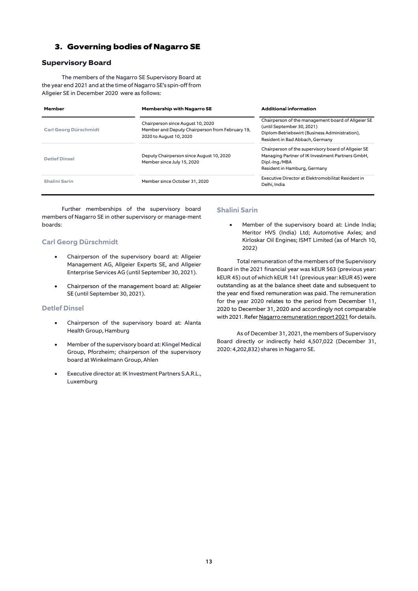### **3. Governing bodies of Nagarro SE**

### **Supervisory Board**

The members of the Nagarro SE Supervisory Board at the year end 2021 and at the time of Nagarro SE's spin-off from Allgeier SE in December 2020 were as follows:

| Member                | <b>Membership with Nagarro SE</b>                                                                               | <b>Additional information</b>                                                                                                                                         |  |  |
|-----------------------|-----------------------------------------------------------------------------------------------------------------|-----------------------------------------------------------------------------------------------------------------------------------------------------------------------|--|--|
| Carl Georg Dürschmidt | Chairperson since August 10, 2020<br>Member and Deputy Chairperson from February 19,<br>2020 to August 10, 2020 | Chairperson of the management board of Allgeier SE<br>(until September 30, 2021)<br>Diplom-Betriebswirt (Business Administration),<br>Resident in Bad Abbach, Germany |  |  |
| <b>Detlef Dinsel</b>  | Deputy Chairperson since August 10, 2020<br>Member since July 15, 2020                                          | Chairperson of the supervisory board of Allgeier SE<br>Managing Partner of IK Investment Partners GmbH,<br>Dipl.-Ing./MBA<br>Resident in Hamburg, Germany             |  |  |
| <b>Shalini Sarin</b>  | Member since October 31, 2020                                                                                   | Executive Director at Elektromobilitat Resident in<br>Delhi, India                                                                                                    |  |  |

Further memberships of the supervisory board members of Nagarro SE in other supervisory or manage-ment boards:

### **Carl Georg Dürschmidt**

- Chairperson of the supervisory board at: Allgeier Management AG, Allgeier Experts SE, and Allgeier Enterprise Services AG (until September 30, 2021).
- Chairperson of the management board at: Allgeier SE (until September 30, 2021).

### **Detlef Dinsel**

- Chairperson of the supervisory board at: Alanta Health Group, Hamburg
- Member of the supervisory board at: Klingel Medical Group, Pforzheim; chairperson of the supervisory board at Winkelmann Group, Ahlen
- Executive director at: IK Investment Partners S.A.R.L., Luxemburg

### **Shalini Sarin**

• Member of the supervisory board at: Linde India; Meritor HVS (India) Ltd; Automotive Axles; and Kirloskar Oil Engines; ISMT Limited (as of March 10, 2022)

Total remuneration of the members of the Supervisory Board in the 2021 financial year was kEUR 563 (previous year: kEUR 45) out of which kEUR 141 (previous year: kEUR 45) were outstanding as at the balance sheet date and subsequent to the year end fixed remuneration was paid. The remuneration for the year 2020 relates to the period from December 11, 2020 to December 31, 2020 and accordingly not comparable with 2021. Refe[r Nagarro remuneration report 2021](https://www.nagarro.com/hubfs/Investors/FinancialReports/remuneration_report_2021.pdf) for details.

As of December 31, 2021, the members of Supervisory Board directly or indirectly held 4,507,022 (December 31, 2020: 4,202,832) shares in Nagarro SE.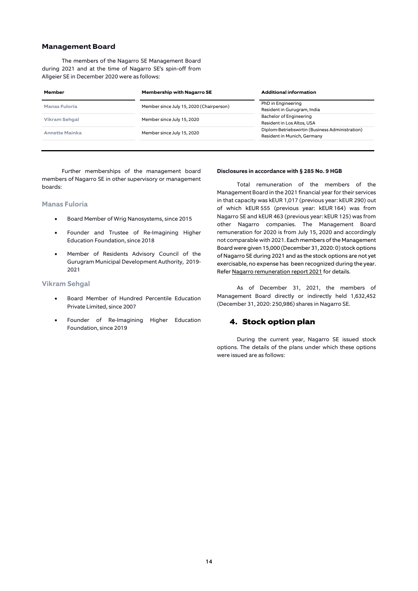### **Management Board**

The members of the Nagarro SE Management Board during 2021 and at the time of Nagarro SE's spin-off from Allgeier SE in December 2020 were as follows:

| Member                | <b>Membership with Nagarro SE</b>        | <b>Additional information</b>                                                  |
|-----------------------|------------------------------------------|--------------------------------------------------------------------------------|
| <b>Manas Fuloria</b>  | Member since July 15, 2020 (Chairperson) | PhD in Engineering<br>Resident in Gurugram, India                              |
| <b>Vikram Sehgal</b>  | Member since July 15, 2020               | Bachelor of Engineering<br>Resident in Los Altos, USA                          |
| <b>Annette Mainka</b> | Member since July 15, 2020               | Diplom-Betriebswirtin (Business Administration)<br>Resident in Munich, Germany |
|                       |                                          |                                                                                |

Further memberships of the management board members of Nagarro SE in other supervisory or management boards:

### **Manas Fuloria**

- Board Member of Wrig Nanosystems, since 2015
- Founder and Trustee of Re-Imagining Higher Education Foundation, since 2018
- Member of Residents Advisory Council of the Gurugram Municipal Development Authority, 2019- 2021

### **Vikram Sehgal**

- Board Member of Hundred Percentile Education Private Limited, since 2007
- Founder of Re-Imagining Higher Education Foundation, since 2019

#### **Disclosures in accordance with § 285 No. 9 HGB**

Total remuneration of the members of the Management Board in the 2021 financial year for their services in that capacity was kEUR 1,017 (previous year: kEUR 290) out of which kEUR 555 (previous year: kEUR 164) was from Nagarro SE and kEUR 463 (previous year: kEUR 125) was from other Nagarro companies. The Management Board remuneration for 2020 is from July 15, 2020 and accordingly not comparable with 2021. Each members of the Management Board were given 15,000 (December 31, 2020: 0) stock options of Nagarro SE during 2021 and as the stock options are not yet exercisable, no expense has been recognized during the year. Refe[r Nagarro remuneration report 2021](https://www.nagarro.com/hubfs/Investors/FinancialReports/remuneration_report_2021.pdf) for details.

As of December 31, 2021, the members of Management Board directly or indirectly held 1,632,452 (December 31, 2020: 250,986) shares in Nagarro SE.

### **4. Stock option plan**

During the current year, Nagarro SE issued stock options. The details of the plans under which these options were issued are as follows: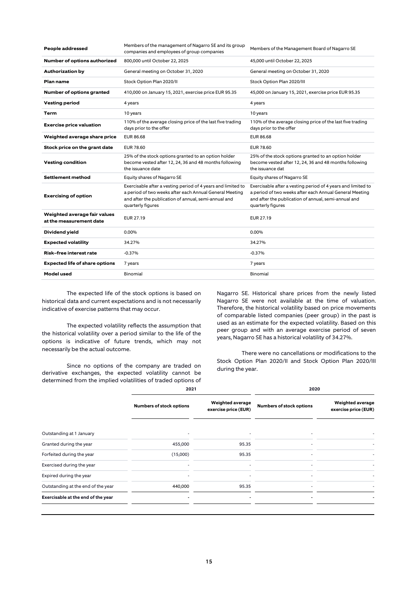| People addressed                                        | Members of the management of Nagarro SE and its group<br>companies and employees of group companies                                                                                                  | Members of the Management Board of Nagarro SE                                                                                                                                                        |
|---------------------------------------------------------|------------------------------------------------------------------------------------------------------------------------------------------------------------------------------------------------------|------------------------------------------------------------------------------------------------------------------------------------------------------------------------------------------------------|
| Number of options authorized                            | 800,000 until October 22, 2025                                                                                                                                                                       | 45,000 until October 22, 2025                                                                                                                                                                        |
| <b>Authorization by</b>                                 | General meeting on October 31, 2020                                                                                                                                                                  | General meeting on October 31, 2020                                                                                                                                                                  |
| Plan name                                               | Stock Option Plan 2020/II                                                                                                                                                                            | Stock Option Plan 2020/III                                                                                                                                                                           |
| Number of options granted                               | 410,000 on January 15, 2021, exercise price EUR 95.35                                                                                                                                                | 45,000 on January 15, 2021, exercise price EUR 95.35                                                                                                                                                 |
| <b>Vesting period</b>                                   | 4 years                                                                                                                                                                                              | 4 years                                                                                                                                                                                              |
| Term                                                    | 10 years                                                                                                                                                                                             | 10 years                                                                                                                                                                                             |
| <b>Exercise price valuation</b>                         | 110% of the average closing price of the last five trading<br>days prior to the offer                                                                                                                | 110% of the average closing price of the last five trading<br>days prior to the offer                                                                                                                |
| Weighted average share price                            | <b>EUR 86.68</b>                                                                                                                                                                                     | <b>EUR 86.68</b>                                                                                                                                                                                     |
| Stock price on the grant date                           | <b>EUR 78.60</b>                                                                                                                                                                                     | EUR 78.60                                                                                                                                                                                            |
| <b>Vesting condition</b>                                | 25% of the stock options granted to an option holder<br>become vested after 12, 24, 36 and 48 months following<br>the issuance date                                                                  | 25% of the stock options granted to an option holder<br>become vested after 12, 24, 36 and 48 months following<br>the issuance dat                                                                   |
| Settlement method                                       | Equity shares of Nagarro SE                                                                                                                                                                          | Equity shares of Nagarro SE                                                                                                                                                                          |
| <b>Exercising of option</b>                             | Exercisable after a vesting period of 4 years and limited to<br>a period of two weeks after each Annual General Meeting<br>and after the publication of annual, semi-annual and<br>quarterly figures | Exercisable after a vesting period of 4 years and limited to<br>a period of two weeks after each Annual General Meeting<br>and after the publication of annual, semi-annual and<br>quarterly figures |
| Weighted average fair values<br>at the measurement date | <b>EUR 27.19</b>                                                                                                                                                                                     | EUR 27.19                                                                                                                                                                                            |
| Dividend yield                                          | 0.00%                                                                                                                                                                                                | 0.00%                                                                                                                                                                                                |
| <b>Expected volatility</b>                              | 34.27%                                                                                                                                                                                               | 34.27%                                                                                                                                                                                               |
| <b>Risk-free interest rate</b>                          | $-0.37%$                                                                                                                                                                                             | $-0.37%$                                                                                                                                                                                             |
| <b>Expected life of share options</b>                   | 7 years                                                                                                                                                                                              | 7 years                                                                                                                                                                                              |
| Model used                                              | Binomial                                                                                                                                                                                             | Binomial                                                                                                                                                                                             |

The expected life of the stock options is based on historical data and current expectations and is not necessarily indicative of exercise patterns that may occur.

The expected volatility reflects the assumption that the historical volatility over a period similar to the life of the options is indicative of future trends, which may not necessarily be the actual outcome.

Since no options of the company are traded on derivative exchanges, the expected volatility cannot be determined from the implied volatilities of traded options of

Nagarro SE. Historical share prices from the newly listed Nagarro SE were not available at the time of valuation. Therefore, the historical volatility based on price movements of comparable listed companies (peer group) in the past is used as an estimate for the expected volatility. Based on this peer group and with an average exercise period of seven years, Nagarro SE has a historical volatility of 34.27%.

There were no cancellations or modifications to the Stock Option Plan 2020/II and Stock Option Plan 2020/III during the year.

|                                    | 2021                            |                                                 | 2020                            |                                                 |  |  |  |
|------------------------------------|---------------------------------|-------------------------------------------------|---------------------------------|-------------------------------------------------|--|--|--|
|                                    | <b>Numbers of stock options</b> | <b>Weighted average</b><br>exercise price (EUR) | <b>Numbers of stock options</b> | <b>Weighted average</b><br>exercise price (EUR) |  |  |  |
| Outstanding at 1 January           |                                 |                                                 |                                 |                                                 |  |  |  |
| Granted during the year            | 455,000                         | 95.35                                           |                                 |                                                 |  |  |  |
| Forfeited during the year          | (15,000)                        | 95.35                                           |                                 |                                                 |  |  |  |
| Exercised during the year          |                                 |                                                 |                                 |                                                 |  |  |  |
| Expired during the year            |                                 |                                                 |                                 |                                                 |  |  |  |
| Outstanding at the end of the year | 440,000                         | 95.35                                           |                                 |                                                 |  |  |  |
| Exercisable at the end of the year |                                 |                                                 |                                 |                                                 |  |  |  |
|                                    |                                 |                                                 |                                 |                                                 |  |  |  |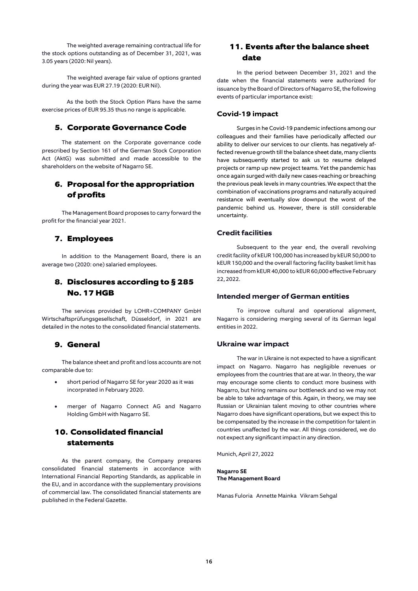The weighted average remaining contractual life for the stock options outstanding as of December 31, 2021, was 3.05 years (2020: Nil years).

The weighted average fair value of options granted during the year was EUR 27.19 (2020: EUR Nil).

As the both the Stock Option Plans have the same exercise prices of EUR 95.35 thus no range is applicable.

### **5. Corporate Governance Code**

The statement on the Corporate governance code prescribed by Section 161 of the German Stock Corporation Act (AktG) was submitted and made accessible to the shareholders on the website of Nagarro SE.

### **6. Proposal for the appropriation of profits**

The Management Board proposes to carry forward the profit for the financial year 2021.

### **7. Employees**

In addition to the Management Board, there is an average two (2020: one) salaried employees.

### **8. Disclosures according to § 285 No. 17 HGB**

The services provided by LOHR+COMPANY GmbH Wirtschaftsprüfungsgesellschaft, Düsseldorf, in 2021 are detailed in the notes to the consolidated financial statements.

### **9. General**

The balance sheet and profit and loss accounts are not comparable due to:

- short period of Nagarro SE for year 2020 as it was incorprated in February 2020.
- merger of Nagarro Connect AG and Nagarro Holding GmbH with Nagarro SE.

### **10. Consolidated financial statements**

As the parent company, the Company prepares consolidated financial statements in accordance with International Financial Reporting Standards, as applicable in the EU, and in accordance with the supplementary provisions of commercial law. The consolidated financial statements are published in the Federal Gazette.

### **11. Events after the balance sheet date**

In the period between December 31, 2021 and the date when the financial statements were authorized for issuance by the Board of Directors of Nagarro SE, the following events of particular importance exist:

### **Covid-19 impact**

Surges in he Covid-19 pandemic infections among our colleagues and their families have periodically affected our ability to deliver our services to our clients. has negatively affected revenue growth till the balance sheet date, many clients have subsequently started to ask us to resume delayed projects or ramp up new project teams. Yet the pandemic has once again surged with daily new cases-reaching or breaching the previous peak levels in many countries. We expect that the combination of vaccinations programs and naturally acquired resistance will eventually slow downput the worst of the pandemic behind us. However, there is still considerable uncertainty.

### **Credit facilities**

Subsequent to the year end, the overall revolving credit facility of kEUR 100,000 has increased by kEUR 50,000 to kEUR 150,000 and the overall factoring facility basket limit has increased from kEUR 40,000 to kEUR 60,000 effective February 22, 2022.

### **Intended merger of German entities**

To improve cultural and operational alignment, Nagarro is considering merging several of its German legal entities in 2022.

### **Ukraine war impact**

The war in Ukraine is not expected to have a significant impact on Nagarro. Nagarro has negligible revenues or employees from the countries that are at war. In theory, the war may encourage some clients to conduct more business with Nagarro, but hiring remains our bottleneck and so we may not be able to take advantage of this. Again, in theory, we may see Russian or Ukrainian talent moving to other countries where Nagarro does have significant operations, but we expect this to be compensated by the increase in the competition for talent in countries unaffected by the war. All things considered, we do not expect any significant impact in any direction.

Munich, April 27, 2022

**Nagarro SE The Management Board**

Manas Fuloria Annette Mainka Vikram Sehgal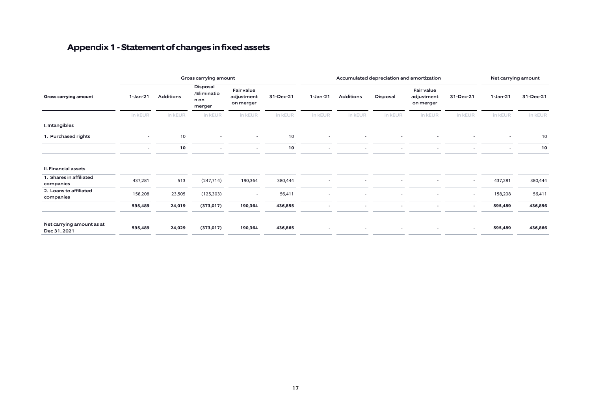### **Appendix 1 -Statement of changes in fixed assets**

|                                           |            |                  | Gross carrying amount                     |                                       |           |            | Accumulated depreciation and amortization | Net carrying amount |                                       |                          |            |           |
|-------------------------------------------|------------|------------------|-------------------------------------------|---------------------------------------|-----------|------------|-------------------------------------------|---------------------|---------------------------------------|--------------------------|------------|-----------|
| Gross carrying amount                     | $1-Jan-21$ | <b>Additions</b> | Disposal<br>/Eliminatio<br>n on<br>merger | Fair value<br>adjustment<br>on merger | 31-Dec-21 | $1-Jan-21$ | Additions                                 | Disposal            | Fair value<br>adjustment<br>on merger | 31-Dec-21                | $1-Jan-21$ | 31-Dec-21 |
|                                           | in kEUR    | in kEUR          | in kEUR                                   | in kEUR                               | in kEUR   | in kEUR    | in kEUR                                   | in kEUR             | in kEUR                               | in kEUR                  | in kEUR    | in kEUR   |
| I. Intangibles                            |            |                  |                                           |                                       |           |            |                                           |                     |                                       |                          |            |           |
| 1. Purchased rights                       |            | 10               |                                           |                                       | 10        |            |                                           |                     |                                       |                          |            | 10        |
|                                           | $\sim$     | 10               | $\blacksquare$                            |                                       | 10        | ۰          |                                           |                     |                                       |                          |            | 10        |
| II. Financial assets                      |            |                  |                                           |                                       |           |            |                                           |                     |                                       |                          |            |           |
| 1. Shares in affiliated<br>companies      | 437,281    | 513              | (247, 714)                                | 190,364                               | 380,444   |            |                                           |                     |                                       | $\sim$                   | 437,281    | 380,444   |
| 2. Loans to affiliated<br>companies       | 158,208    | 23,505           | (125, 303)                                | $\overline{\phantom{a}}$              | 56,411    |            |                                           |                     |                                       | $\overline{\phantom{a}}$ | 158,208    | 56,411    |
|                                           | 595,489    | 24,019           | (373, 017)                                | 190,364                               | 436,855   |            |                                           |                     |                                       | $\overline{\phantom{a}}$ | 595,489    | 436,856   |
| Net carrying amount as at<br>Dec 31, 2021 | 595,489    | 24,029           | (373, 017)                                | 190,364                               | 436,865   | ۰          |                                           |                     | $\overline{\phantom{a}}$              | $\overline{\phantom{a}}$ | 595,489    | 436,866   |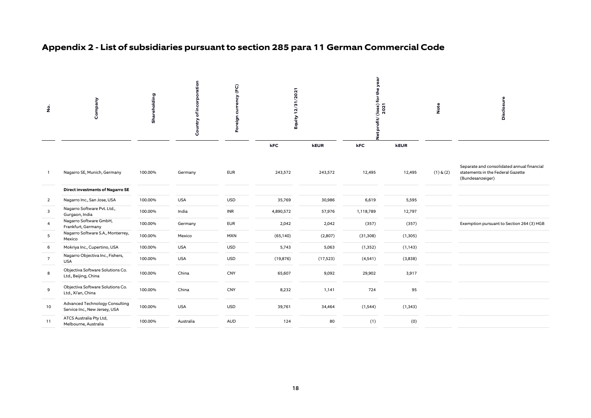### **Appendix 2 - List of subsidiaries pursuant to section 285 para 11 German Commercial Code**

| $\frac{9}{2}$   | Company                                                         | Shareholding | ation<br>incorpor<br>E<br>Country | $\widehat{\mathsf{E}}$<br>৯<br>eig<br>훈 | 1/2021<br>ñ<br>Equity |             | e yea<br>ofit/(loss) for<br>2021 |          | Note          | Disclosure                                                                                          |  |
|-----------------|-----------------------------------------------------------------|--------------|-----------------------------------|-----------------------------------------|-----------------------|-------------|----------------------------------|----------|---------------|-----------------------------------------------------------------------------------------------------|--|
|                 |                                                                 |              |                                   |                                         | kFC                   | <b>kEUR</b> | kFC                              | kEUR     |               |                                                                                                     |  |
| $\mathbf{1}$    | Nagarro SE, Munich, Germany                                     | 100.00%      | Germany                           | <b>EUR</b>                              | 243,572               | 243,572     | 12,495                           | 12,495   | $(1)$ & $(2)$ | Separate and consolidated annual financial<br>statements in the Federal Gazette<br>(Bundesanzeiger) |  |
|                 | <b>Direct investments of Nagarro SE</b>                         |              |                                   |                                         |                       |             |                                  |          |               |                                                                                                     |  |
| $\overline{2}$  | Nagarro Inc., San Jose, USA                                     | 100.00%      | <b>USA</b>                        | <b>USD</b>                              | 35,769                | 30,986      | 6,619                            | 5,595    |               |                                                                                                     |  |
| 3               | Nagarro Software Pvt. Ltd.,<br>Gurgaon, India                   | 100.00%      | India                             | INR                                     | 4,890,572             | 57,976      | 1,118,789                        | 12,797   |               |                                                                                                     |  |
| $\overline{4}$  | Nagarro Software GmbH,<br>Frankfurt, Germany                    | 100.00%      | Germany                           | <b>EUR</b>                              | 2,042                 | 2,042       | (357)                            | (357)    |               | Exemption pursuant to Section 264 (3) HGB                                                           |  |
| 5               | Nagarro Software S.A., Monterrey,<br>Mexico                     | 100.00%      | Mexico                            | <b>MXN</b>                              | (65, 140)             | (2,807)     | (31, 308)                        | (1,305)  |               |                                                                                                     |  |
| 6               | Mokriya Inc., Cupertino, USA                                    | 100.00%      | <b>USA</b>                        | <b>USD</b>                              | 5,743                 | 5,063       | (1, 352)                         | (1, 143) |               |                                                                                                     |  |
| $7\overline{ }$ | Nagarro Objectiva Inc., Fishers,<br><b>USA</b>                  | 100.00%      | <b>USA</b>                        | <b>USD</b>                              | (19, 876)             | (17, 523)   | (4,541)                          | (3,838)  |               |                                                                                                     |  |
| 8               | Objectiva Software Solutions Co.<br>Ltd., Beijing, China        | 100.00%      | China                             | CNY                                     | 65,607                | 9,092       | 29,902                           | 3,917    |               |                                                                                                     |  |
| 9               | Objectiva Software Solutions Co.<br>Ltd., Xi'an, China          | 100.00%      | China                             | CNY                                     | 8,232                 | 1,141       | 724                              | 95       |               |                                                                                                     |  |
| 10              | Advanced Technology Consulting<br>Service Inc., New Jersey, USA | 100.00%      | <b>USA</b>                        | <b>USD</b>                              | 39,761                | 34,464      | (1, 544)                         | (1, 343) |               |                                                                                                     |  |
| 11              | ATCS Australia Pty Ltd,<br>Melbourne, Australia                 | 100.00%      | Australia                         | <b>AUD</b>                              | 124                   | 80          | (1)                              | (0)      |               |                                                                                                     |  |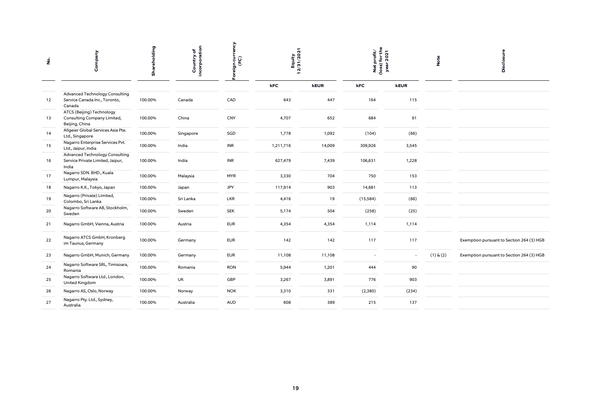| ġ  | Company                                                                            | Shareholding | incorporation<br>٥f<br>Country | ency<br>$\widetilde{\mathsf{E}}$<br>5<br>eign<br>훈 | Equity<br>2/31/2021 |        | Net profit/<br>(loss) for the<br>year 2021 |       | Note          | Disclosure                                |  |
|----|------------------------------------------------------------------------------------|--------------|--------------------------------|----------------------------------------------------|---------------------|--------|--------------------------------------------|-------|---------------|-------------------------------------------|--|
|    |                                                                                    |              |                                |                                                    | kFC                 | kEUR   | kFC                                        | kEUR  |               |                                           |  |
| 12 | <b>Advanced Technology Consulting</b><br>Service Canada Inc., Toronto,<br>Canada   | 100.00%      | Canada                         | CAD                                                | 643                 | 447    | 164                                        | 115   |               |                                           |  |
| 13 | ATCS (Beijing) Technology<br>Consulting Company Limited,<br>Beijing, China         | 100.00%      | China                          | CNY                                                | 4,707               | 652    | 684                                        | 91    |               |                                           |  |
| 14 | Allgeier Global Services Asia Pte.<br>Ltd., Singapore                              | 100.00%      | Singapore                      | SGD                                                | 1,778               | 1,092  | (104)                                      | (66)  |               |                                           |  |
| 15 | Nagarro Enterprise Services Pvt.<br>Ltd., Jaipur, India                            | 100.00%      | India                          | <b>INR</b>                                         | 1,211,716           | 14,009 | 309,926                                    | 3,545 |               |                                           |  |
| 16 | <b>Advanced Technology Consulting</b><br>Service Private Limited, Jaipur,<br>India | 100.00%      | India                          | <b>INR</b>                                         | 627,479             | 7,439  | 106,631                                    | 1,228 |               |                                           |  |
| 17 | Nagarro SDN. BHD., Kuala<br>Lumpur, Malaysia                                       | 100.00%      | Malaysia                       | <b>MYR</b>                                         | 3,330               | 704    | 750                                        | 153   |               |                                           |  |
| 18 | Nagarro K.K., Tokyo, Japan                                                         | 100.00%      | Japan                          | JPY                                                | 117,914             | 903    | 14,681                                     | 113   |               |                                           |  |
| 19 | Nagarro (Private) Limited,<br>Colombo, Sri Lanka                                   | 100.00%      | Sri Lanka                      | LKR                                                | 4,416               | 19     | (15, 584)                                  | (66)  |               |                                           |  |
| 20 | Nagarro Software AB, Stockholm,<br>Sweden                                          | 100.00%      | Sweden                         | <b>SEK</b>                                         | 5,174               | 504    | (258)                                      | (25)  |               |                                           |  |
| 21 | Nagarro GmbH, Vienna, Austria                                                      | 100.00%      | Austria                        | <b>EUR</b>                                         | 4,354               | 4,354  | 1,114                                      | 1,114 |               |                                           |  |
| 22 | Nagarro ATCS GmbH, Kronberg<br>im Taunus, Germany                                  | 100.00%      | Germany                        | <b>EUR</b>                                         | 142                 | 142    | 117                                        | 117   |               | Exemption pursuant to Section 264 (3) HGB |  |
| 23 | Nagarro GmbH, Munich, Germany                                                      | 100.00%      | Germany                        | <b>EUR</b>                                         | 11,108              | 11,108 |                                            |       | $(1)$ & $(2)$ | Exemption pursuant to Section 264 (3) HGB |  |
| 24 | Nagarro Software SRL, Timisoara,<br>Romania                                        | 100.00%      | Romania                        | <b>RON</b>                                         | 5,944               | 1,201  | 444                                        | 90    |               |                                           |  |
| 25 | Nagarro Software Ltd., London,<br>United Kingdom                                   | 100.00%      | UK                             | GBP                                                | 3,267               | 3,891  | 776                                        | 903   |               |                                           |  |
| 26 | Nagarro AS, Oslo, Norway                                                           | 100.00%      | Norway                         | <b>NOK</b>                                         | 3,310               | 331    | (2,380)                                    | (234) |               |                                           |  |
| 27 | Nagarro Pty. Ltd., Sydney,<br>Australia                                            | 100.00%      | Australia                      | <b>AUD</b>                                         | 608                 | 389    | 215                                        | 137   |               |                                           |  |